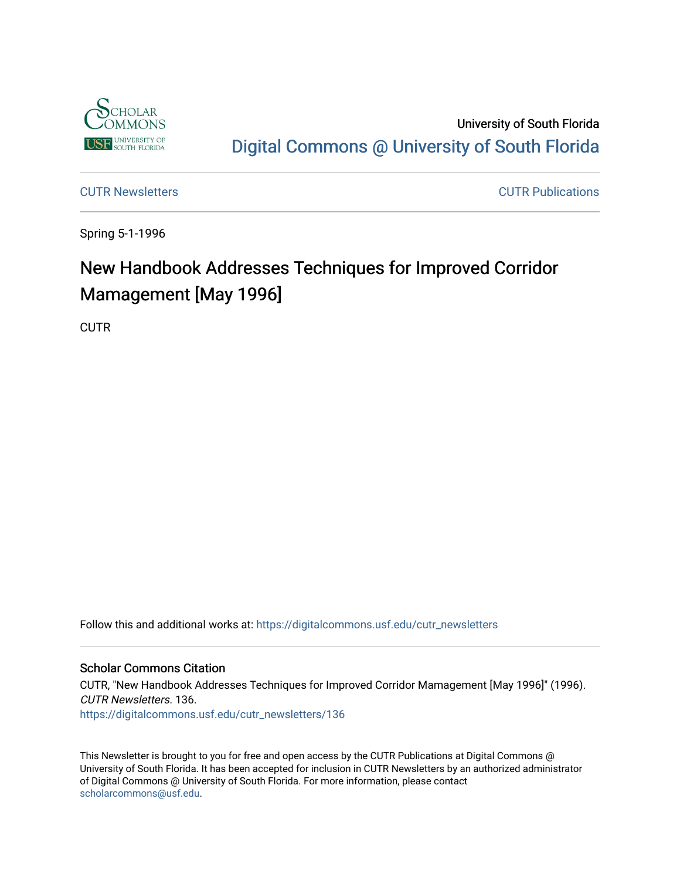

University of South Florida [Digital Commons @ University of South Florida](https://digitalcommons.usf.edu/) 

[CUTR Newsletters](https://digitalcommons.usf.edu/cutr_newsletters) [CUTR Publications](https://digitalcommons.usf.edu/cutr_pubs) 

Spring 5-1-1996

# New Handbook Addresses Techniques for Improved Corridor Mamagement [May 1996]

**CUTR** 

Follow this and additional works at: [https://digitalcommons.usf.edu/cutr\\_newsletters](https://digitalcommons.usf.edu/cutr_newsletters?utm_source=digitalcommons.usf.edu%2Fcutr_newsletters%2F136&utm_medium=PDF&utm_campaign=PDFCoverPages) 

#### Scholar Commons Citation

CUTR, "New Handbook Addresses Techniques for Improved Corridor Mamagement [May 1996]" (1996). CUTR Newsletters. 136. [https://digitalcommons.usf.edu/cutr\\_newsletters/136](https://digitalcommons.usf.edu/cutr_newsletters/136?utm_source=digitalcommons.usf.edu%2Fcutr_newsletters%2F136&utm_medium=PDF&utm_campaign=PDFCoverPages) 

This Newsletter is brought to you for free and open access by the CUTR Publications at Digital Commons @ University of South Florida. It has been accepted for inclusion in CUTR Newsletters by an authorized administrator of Digital Commons @ University of South Florida. For more information, please contact [scholarcommons@usf.edu.](mailto:scholarcommons@usf.edu)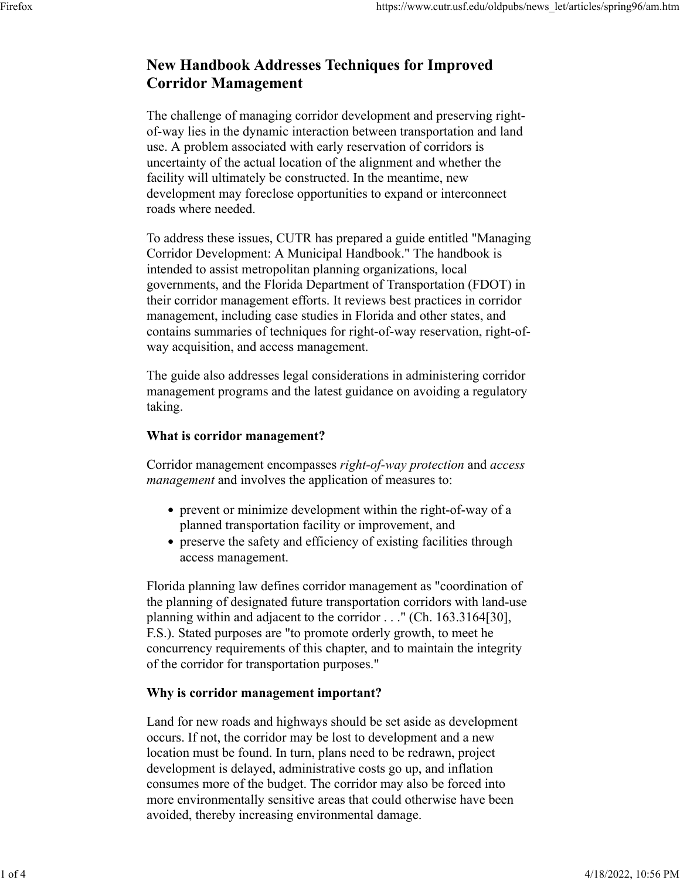# **New Handbook Addresses Techniques for Improved Corridor Mamagement**

The challenge of managing corridor development and preserving rightof-way lies in the dynamic interaction between transportation and land use. A problem associated with early reservation of corridors is uncertainty of the actual location of the alignment and whether the facility will ultimately be constructed. In the meantime, new development may foreclose opportunities to expand or interconnect roads where needed.

To address these issues, CUTR has prepared a guide entitled "Managing Corridor Development: A Municipal Handbook." The handbook is intended to assist metropolitan planning organizations, local governments, and the Florida Department of Transportation (FDOT) in their corridor management efforts. It reviews best practices in corridor management, including case studies in Florida and other states, and contains summaries of techniques for right-of-way reservation, right-ofway acquisition, and access management.

The guide also addresses legal considerations in administering corridor management programs and the latest guidance on avoiding a regulatory taking.

## **What is corridor management?**

Corridor management encompasses *right-of-way protection* and *access management* and involves the application of measures to:

- prevent or minimize development within the right-of-way of a planned transportation facility or improvement, and
- preserve the safety and efficiency of existing facilities through access management.

Florida planning law defines corridor management as "coordination of the planning of designated future transportation corridors with land-use planning within and adjacent to the corridor . . ." (Ch. 163.3164[30], F.S.). Stated purposes are "to promote orderly growth, to meet he concurrency requirements of this chapter, and to maintain the integrity of the corridor for transportation purposes."

# **Why is corridor management important?**

Land for new roads and highways should be set aside as development occurs. If not, the corridor may be lost to development and a new location must be found. In turn, plans need to be redrawn, project development is delayed, administrative costs go up, and inflation consumes more of the budget. The corridor may also be forced into more environmentally sensitive areas that could otherwise have been avoided, thereby increasing environmental damage.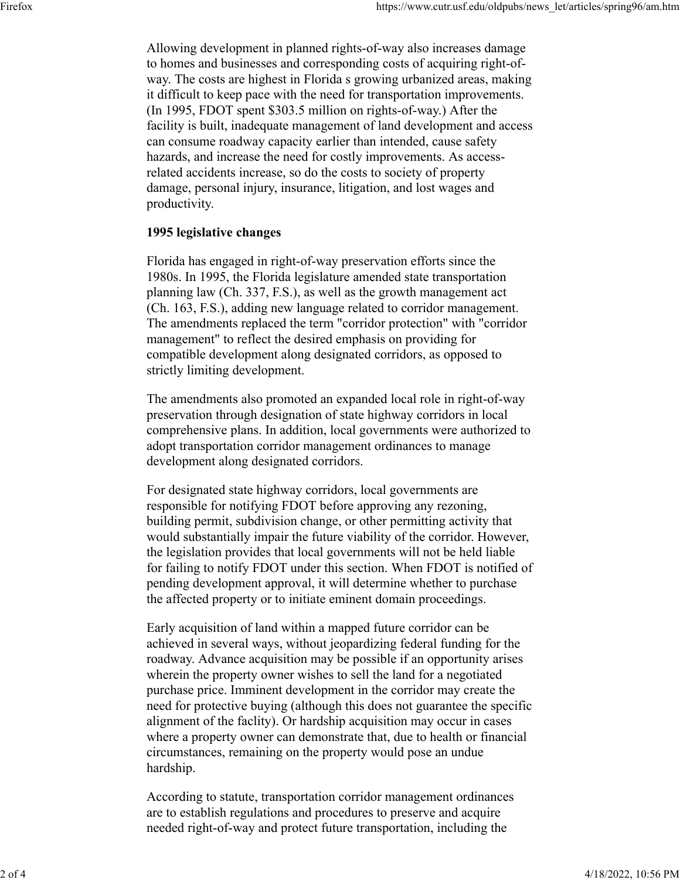Allowing development in planned rights-of-way also increases damage to homes and businesses and corresponding costs of acquiring right-ofway. The costs are highest in Florida s growing urbanized areas, making it difficult to keep pace with the need for transportation improvements. (In 1995, FDOT spent \$303.5 million on rights-of-way.) After the facility is built, inadequate management of land development and access can consume roadway capacity earlier than intended, cause safety hazards, and increase the need for costly improvements. As accessrelated accidents increase, so do the costs to society of property damage, personal injury, insurance, litigation, and lost wages and productivity.

# **1995 legislative changes**

Florida has engaged in right-of-way preservation efforts since the 1980s. In 1995, the Florida legislature amended state transportation planning law (Ch. 337, F.S.), as well as the growth management act (Ch. 163, F.S.), adding new language related to corridor management. The amendments replaced the term "corridor protection" with "corridor management" to reflect the desired emphasis on providing for compatible development along designated corridors, as opposed to strictly limiting development.

The amendments also promoted an expanded local role in right-of-way preservation through designation of state highway corridors in local comprehensive plans. In addition, local governments were authorized to adopt transportation corridor management ordinances to manage development along designated corridors.

For designated state highway corridors, local governments are responsible for notifying FDOT before approving any rezoning, building permit, subdivision change, or other permitting activity that would substantially impair the future viability of the corridor. However, the legislation provides that local governments will not be held liable for failing to notify FDOT under this section. When FDOT is notified of pending development approval, it will determine whether to purchase the affected property or to initiate eminent domain proceedings.

Early acquisition of land within a mapped future corridor can be achieved in several ways, without jeopardizing federal funding for the roadway. Advance acquisition may be possible if an opportunity arises wherein the property owner wishes to sell the land for a negotiated purchase price. Imminent development in the corridor may create the need for protective buying (although this does not guarantee the specific alignment of the faclity). Or hardship acquisition may occur in cases where a property owner can demonstrate that, due to health or financial circumstances, remaining on the property would pose an undue hardship.

According to statute, transportation corridor management ordinances are to establish regulations and procedures to preserve and acquire needed right-of-way and protect future transportation, including the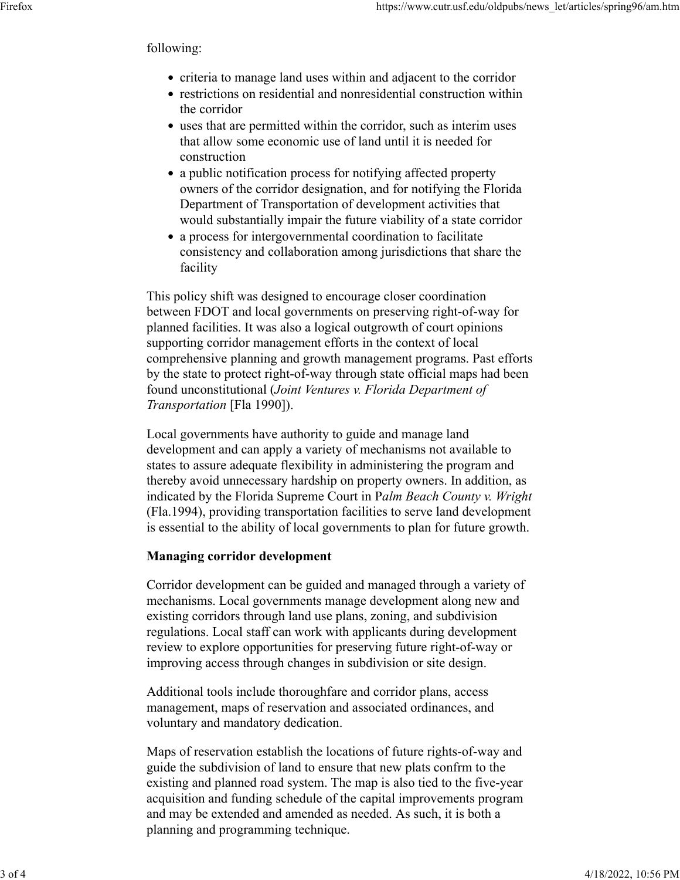#### following:

- criteria to manage land uses within and adjacent to the corridor
- restrictions on residential and nonresidential construction within the corridor
- uses that are permitted within the corridor, such as interim uses that allow some economic use of land until it is needed for construction
- a public notification process for notifying affected property owners of the corridor designation, and for notifying the Florida Department of Transportation of development activities that would substantially impair the future viability of a state corridor
- a process for intergovernmental coordination to facilitate consistency and collaboration among jurisdictions that share the facility

This policy shift was designed to encourage closer coordination between FDOT and local governments on preserving right-of-way for planned facilities. It was also a logical outgrowth of court opinions supporting corridor management efforts in the context of local comprehensive planning and growth management programs. Past efforts by the state to protect right-of-way through state official maps had been found unconstitutional (*Joint Ventures v. Florida Department of Transportation* [Fla 1990]).

Local governments have authority to guide and manage land development and can apply a variety of mechanisms not available to states to assure adequate flexibility in administering the program and thereby avoid unnecessary hardship on property owners. In addition, as indicated by the Florida Supreme Court in P*alm Beach County v. Wright* (Fla.1994), providing transportation facilities to serve land development is essential to the ability of local governments to plan for future growth.

### **Managing corridor development**

Corridor development can be guided and managed through a variety of mechanisms. Local governments manage development along new and existing corridors through land use plans, zoning, and subdivision regulations. Local staff can work with applicants during development review to explore opportunities for preserving future right-of-way or improving access through changes in subdivision or site design.

Additional tools include thoroughfare and corridor plans, access management, maps of reservation and associated ordinances, and voluntary and mandatory dedication.

Maps of reservation establish the locations of future rights-of-way and guide the subdivision of land to ensure that new plats confrm to the existing and planned road system. The map is also tied to the five-year acquisition and funding schedule of the capital improvements program and may be extended and amended as needed. As such, it is both a planning and programming technique.